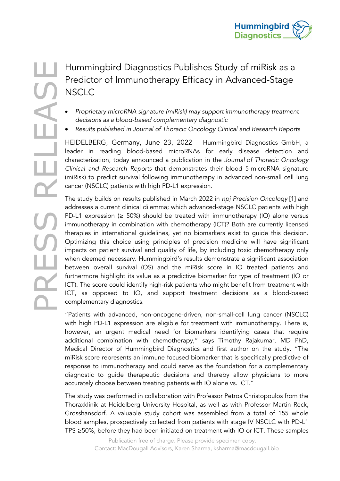

## Predictor of Immunotherapy Efficacy in Advanced-Stage **NSCLC**

- *Proprietary microRNA signature (miRisk) may support immunotherapy treatment decisions as a blood-based complementary diagnostic*
- *Results published in Journal of Thoracic Oncology Clinical and Research Reports*

HEIDELBERG, Germany, June 23, 2022 – Hummingbird Diagnostics GmbH, a leader in reading blood-based microRNAs for early disease detection and characterization, today announced a publication in the *Journal of Thoracic Oncology Clinical and Research Reports* that demonstrates their blood 5-microRNA signature (miRisk) to predict survival following immunotherapy in advanced non-small cell lung cancer (NSCLC) patients with high PD-L1 expression.

**PRESS RELEAS RELEAS RELEAS RELEAS RELEAS STUD (SCREENS RELEASE PRESS) AND SCILC**<br>
Propinetary microRNA signature (miRick) may support immunotherapy treatment<br>
edicions as a blood-based complementary diagnostics GmbHe rele The study builds on results published in March 2022 in *npj Precision Oncology* [1] and addresses a current clinical dilemma; which advanced-stage NSCLC patients with high PD-L1 expression ( $\geq$  50%) should be treated with immunotherapy (IO) alone versus immunotherapy in combination with chemotherapy (ICT)? Both are currently licensed therapies in international guidelines, yet no biomarkers exist to guide this decision. Optimizing this choice using principles of precision medicine will have significant impacts on patient survival and quality of life, by including toxic chemotherapy only when deemed necessary. Hummingbird's results demonstrate a significant association between overall survival (OS) and the miRisk score in IO treated patients and furthermore highlight its value as a predictive biomarker for type of treatment (IO or ICT). The score could identify high-risk patients who might benefit from treatment with ICT, as opposed to IO, and support treatment decisions as a blood-based complementary diagnostics.

> "Patients with advanced, non-oncogene-driven, non-small-cell lung cancer (NSCLC) with high PD-L1 expression are eligible for treatment with immunotherapy. There is, however, an urgent medical need for biomarkers identifying cases that require additional combination with chemotherapy," says Timothy Rajakumar, MD PhD, Medical Director of Hummingbird Diagnostics and first author on the study. "The miRisk score represents an immune focused biomarker that is specifically predictive of response to immunotherapy and could serve as the foundation for a complementary diagnostic to guide therapeutic decisions and thereby allow physicians to more accurately choose between treating patients with IO alone vs. ICT."

> The study was performed in collaboration with Professor Petros Christopoulos from the Thoraxklinik at Heidelberg University Hospital, as well as with Professor Martin Reck, Grosshansdorf. A valuable study cohort was assembled from a total of 155 whole blood samples, prospectively collected from patients with stage IV NSCLC with PD-L1 TPS ≥50%, before they had been initiated on treatment with IO or ICT. These samples